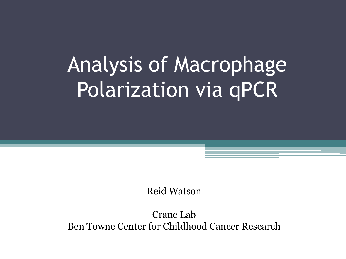# Analysis of Macrophage Polarization via qPCR

Reid Watson

Crane Lab Ben Towne Center for Childhood Cancer Research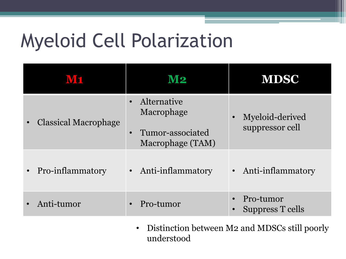# Myeloid Cell Polarization

|                                          | M2                                                                             | <b>MDSC</b>                          |  |
|------------------------------------------|--------------------------------------------------------------------------------|--------------------------------------|--|
| <b>Classical Macrophage</b><br>$\bullet$ | Alternative<br>Macrophage<br>Tumor-associated<br>$\bullet$<br>Macrophage (TAM) | Myeloid-derived<br>suppressor cell   |  |
| Pro-inflammatory<br>$\bullet$            | Anti-inflammatory                                                              | Anti-inflammatory<br>$\bullet$       |  |
| Anti-tumor                               | Pro-tumor                                                                      | Pro-tumor<br><b>Suppress T cells</b> |  |

• Distinction between M2 and MDSCs still poorly understood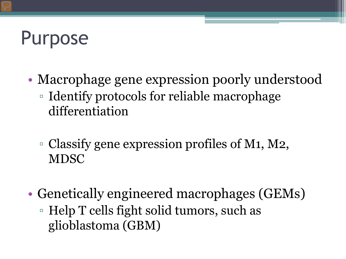# Purpose

- Macrophage gene expression poorly understood
	- Identify protocols for reliable macrophage differentiation
	- Classify gene expression profiles of M1, M2, MDSC
- Genetically engineered macrophages (GEMs) ▫ Help T cells fight solid tumors, such as glioblastoma (GBM)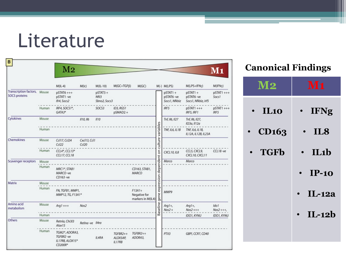## Literature

| в                                                     |                | $\rm M2$                                                  |                       |                                                |                                |                                               |                              |                                          |                                             | $\mathbf{M1}$       |
|-------------------------------------------------------|----------------|-----------------------------------------------------------|-----------------------|------------------------------------------------|--------------------------------|-----------------------------------------------|------------------------------|------------------------------------------|---------------------------------------------|---------------------|
|                                                       |                | $M(IL-4)$                                                 | M(1c)                 | $M(IL-10)$                                     | $M(GC+TGF\beta)$               | M(GC)                                         |                              | $M(-)$ $M(LPS)$                          | $M(LPS+IFN\gamma)$                          | $M(IFN\gamma)$      |
| <b>Transcription factors,</b><br><b>SOCS proteins</b> | Mouse          | $pSTAT6$ +++<br>pSTAT1-ve<br>Ifr4, Socs2                  |                       | $pSTAT3 +$<br>Nf <sub>13</sub><br>Sbno2, Socs3 |                                |                                               |                              | $pSTAT1 +$<br>pSTAT6-ve<br>Socs1, Nfkbiz | pSTAT1+<br>pSTAT6-ve<br>Socs1, Nfkbiz, Irf5 | $pSTAT1++$<br>Socs1 |
|                                                       | Human          | IRF4, SOCS1*,<br>GATA3*                                   |                       | SOCS3                                          | ID3, RGS1<br>$pSMAD2 +$        |                                               |                              | IRF5                                     | $pSTAT1++$<br>IRF5, IRF1                    | $pSTAT1++$<br>IRF5  |
| Cytokines                                             | Mouse          |                                                           | II10, II6             | II10                                           |                                |                                               |                              | Tnf, II6, II27                           | Tnf, II6, II27,<br>Il23a, Il12a             |                     |
|                                                       | Human          |                                                           |                       |                                                |                                |                                               | culture variables            | <b>TNF, IL6, IL1B</b>                    | TNF, IL6, IL1B,<br>IL12A, IL12B, IL23A      |                     |
| Chemokines                                            | Mouse          | Ccl17, Ccl24<br>Ccl22                                     | Cxcl13, Ccl1<br>Ccl20 |                                                |                                |                                               |                              |                                          |                                             |                     |
|                                                       | Human          | CCL4*, CCL13*<br>CCL17, CCL18                             |                       |                                                |                                |                                               |                              | <b>CXCL10, IL8</b>                       | CCL5, CXCL9,<br>CXCL10, CXCL11              | CCL18-ve            |
| Scavenger receptors                                   | Mouse<br>Human | MRC1*, STAB1<br>MARCO-ve<br>CD163-ve                      |                       |                                                |                                | CD163, STAB1,<br>MARCO                        |                              | Marco                                    | Marco                                       |                     |
| Matrix                                                | Mouse<br>Human | FN, TGFB1, MMP1,<br>MMP12, TG, F13A1*                     |                       |                                                |                                | $F13A1+$<br>Negative for<br>markers in M(IL4) | gene expression dependent on | MMP9                                     |                                             |                     |
| Amino acid<br>metabolism                              | Mouse          | $Arg1++$                                                  | Nos2                  |                                                |                                |                                               | Baseline                     | $Arg1+,$<br>$Nos2 +$                     | $Arg1+,$<br>$Nos2++$                        | Ido1<br>$Nos2+++$   |
|                                                       | Human          |                                                           |                       |                                                |                                |                                               |                              |                                          | IDO1, KYNU                                  | IDO1, KYNU          |
| Others                                                | Mouse          | Retnla, Chi3I3<br>Alox15                                  | Retina-ve Il4ra       |                                                |                                |                                               |                              |                                          |                                             |                     |
|                                                       | Human          | TGM2*, ADORA3,<br>TGFBR2-ve<br>IL17RB, ALOX15*<br>CD200R* |                       | IL4RA                                          | TGFBR2++<br>ALOX5AP,<br>IL17RB | TGFBR2++<br>ADORA3,                           |                              | PTX3                                     | GBPI, CCR7, CD40                            |                     |

#### **Canonical Findings**

| <b>M2</b>    | $\mathbf{M1}$   |
|--------------|-----------------|
| <b>IL10</b>  | <b>IFNg</b>     |
| <b>CD163</b> | IL <sub>8</sub> |
| • TGFb       | $\cdot$ IL1b    |
|              | $IP-10$         |
|              | <b>IL-12a</b>   |
|              | $IL-12b$        |
|              |                 |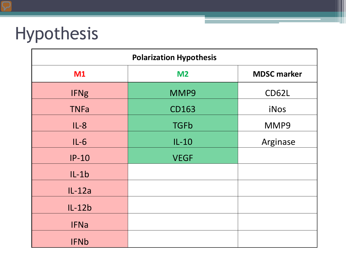## Hypothesis

| <b>Polarization Hypothesis</b> |                |                    |  |  |
|--------------------------------|----------------|--------------------|--|--|
| M1                             | M <sub>2</sub> | <b>MDSC marker</b> |  |  |
| <b>IFNg</b>                    | MMP9           | CD62L              |  |  |
| <b>TNFa</b>                    | <b>CD163</b>   | iNos               |  |  |
| $IL-8$                         | <b>TGFb</b>    | MMP9               |  |  |
| $IL-6$                         | $IL-10$        | Arginase           |  |  |
| $IP-10$                        | <b>VEGF</b>    |                    |  |  |
| $IL-1b$                        |                |                    |  |  |
| $IL-12a$                       |                |                    |  |  |
| $IL-12b$                       |                |                    |  |  |
| <b>IFNa</b>                    |                |                    |  |  |
| <b>IFNb</b>                    |                |                    |  |  |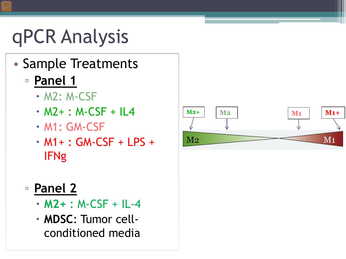# qPCR Analysis

- Sample Treatments
	- **Panel 1** 
		- M2: M-CSF
		- $\cdot$  M2+ : M-CSF + IL4
		- M1: GM-CSF
		- M1+ : GM-CSF + LPS + IFNg
	- **Panel 2**
		- **M2+** : M-CSF + IL-4
		- **MDSC**: Tumor cellconditioned media

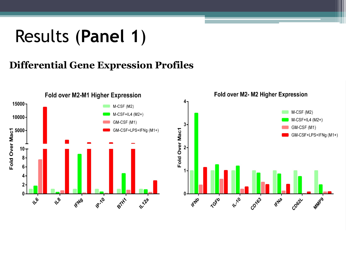### Results (**Panel 1**)

#### **Differential Gene Expression Profiles**

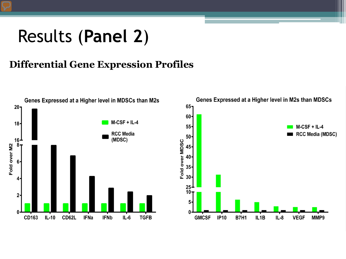### Results (**Panel 2**)

#### **Differential Gene Expression Profiles**

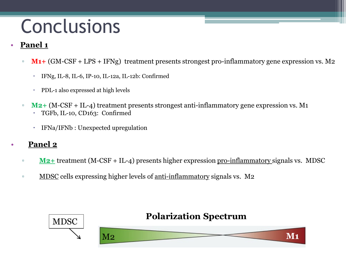# Conclusions

#### • **Panel 1**

- **M1+** (GM-CSF + LPS + IFNg) treatment presents strongest pro-inflammatory gene expression vs. M2
	- IFNg, IL-8, IL-6, IP-10, IL-12a, IL-12b: Confirmed
	- PDL-1 also expressed at high levels
- **M2+** (M-CSF + IL-4) treatment presents strongest anti-inflammatory gene expression vs. M1 TGFb, IL-10, CD163: Confirmed
	- IFNa/IFNb : Unexpected upregulation

#### • **Panel 2**

- **M2+** treatment (M-CSF + IL-4) presents higher expression pro-inflammatory signals vs. MDSC
- MDSC cells expressing higher levels of anti-inflammatory signals vs. M2